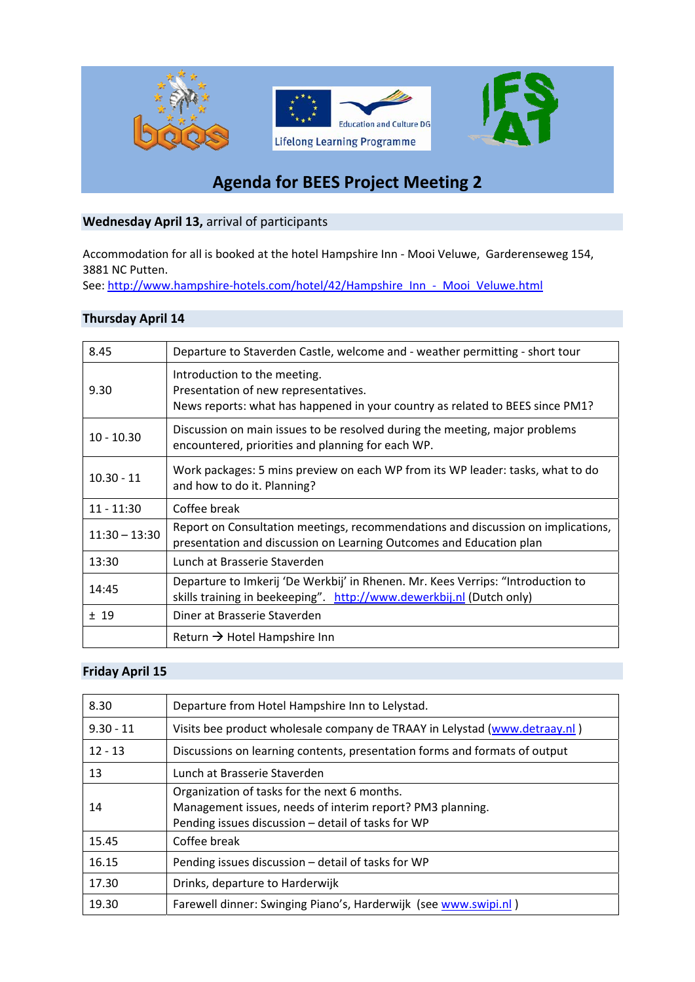

# **Agenda for BEES Project Meeting 2**

### **Wednesday April 13,** arrival of participants

Accommodation for all is booked at the hotel Hampshire Inn ‐ Mooi Veluwe, Garderenseweg 154, 3881 NC Putten.

See: http://www.hampshire-hotels.com/hotel/42/Hampshire\_Inn\_-\_Mooi\_Veluwe.html

#### **Thursday April 14**

| 8.45            | Departure to Staverden Castle, welcome and - weather permitting - short tour                                                                            |
|-----------------|---------------------------------------------------------------------------------------------------------------------------------------------------------|
| 9.30            | Introduction to the meeting.<br>Presentation of new representatives.<br>News reports: what has happened in your country as related to BEES since PM1?   |
| $10 - 10.30$    | Discussion on main issues to be resolved during the meeting, major problems<br>encountered, priorities and planning for each WP.                        |
| $10.30 - 11$    | Work packages: 5 mins preview on each WP from its WP leader: tasks, what to do<br>and how to do it. Planning?                                           |
| $11 - 11:30$    | Coffee break                                                                                                                                            |
| $11:30 - 13:30$ | Report on Consultation meetings, recommendations and discussion on implications,<br>presentation and discussion on Learning Outcomes and Education plan |
| 13:30           | Lunch at Brasserie Staverden                                                                                                                            |
| 14:45           | Departure to Imkerij 'De Werkbij' in Rhenen. Mr. Kees Verrips: "Introduction to<br>skills training in beekeeping". http://www.dewerkbij.nl (Dutch only) |
| ±19             | Diner at Brasserie Staverden                                                                                                                            |
|                 | Return $\rightarrow$ Hotel Hampshire Inn                                                                                                                |

# **Friday April 15**

| 8.30        | Departure from Hotel Hampshire Inn to Lelystad.                                                                                                                 |
|-------------|-----------------------------------------------------------------------------------------------------------------------------------------------------------------|
| $9.30 - 11$ | Visits bee product wholesale company de TRAAY in Lelystad (www.detraay.nl)                                                                                      |
| $12 - 13$   | Discussions on learning contents, presentation forms and formats of output                                                                                      |
| 13          | Lunch at Brasserie Staverden                                                                                                                                    |
| 14          | Organization of tasks for the next 6 months.<br>Management issues, needs of interim report? PM3 planning.<br>Pending issues discussion - detail of tasks for WP |
| 15.45       | Coffee break                                                                                                                                                    |
| 16.15       | Pending issues discussion - detail of tasks for WP                                                                                                              |
| 17.30       | Drinks, departure to Harderwijk                                                                                                                                 |
| 19.30       | Farewell dinner: Swinging Piano's, Harderwijk (see www.swipi.nl)                                                                                                |